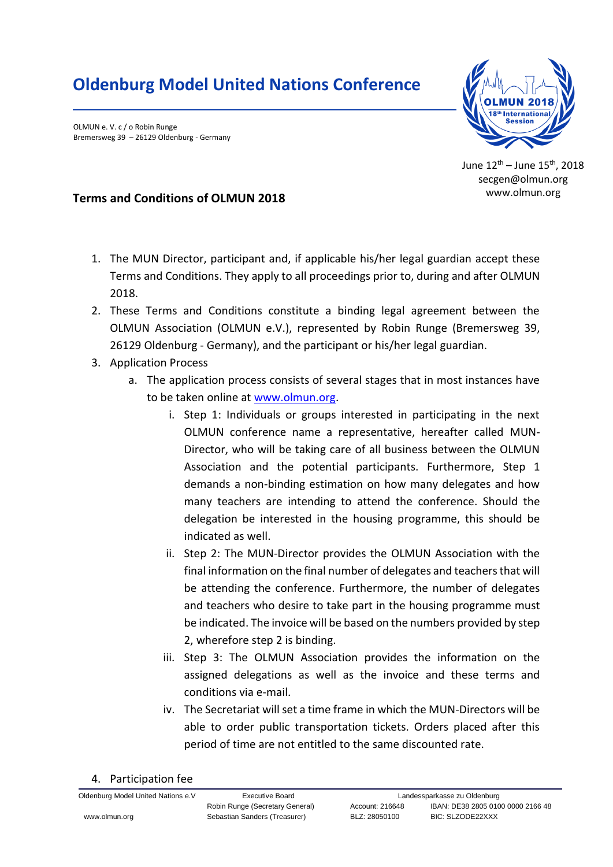## **Oldenburg Model United Nations Conference**

OLMUN e. V. c / o Robin Runge Bremersweg 39 – 26129 Oldenburg - Germany



June 12th – June 15th, 2018 secgen@olmun.org www.olmun.org

## **Terms and Conditions of OLMUN 2018**

- 1. The MUN Director, participant and, if applicable his/her legal guardian accept these Terms and Conditions. They apply to all proceedings prior to, during and after OLMUN 2018.
- 2. These Terms and Conditions constitute a binding legal agreement between the OLMUN Association (OLMUN e.V.), represented by Robin Runge (Bremersweg 39, 26129 Oldenburg - Germany), and the participant or his/her legal guardian.
- 3. Application Process
	- a. The application process consists of several stages that in most instances have to be taken online at [www.olmun.org.](http://www.olmun.org/)
		- i. Step 1: Individuals or groups interested in participating in the next OLMUN conference name a representative, hereafter called MUN-Director, who will be taking care of all business between the OLMUN Association and the potential participants. Furthermore, Step 1 demands a non-binding estimation on how many delegates and how many teachers are intending to attend the conference. Should the delegation be interested in the housing programme, this should be indicated as well.
		- ii. Step 2: The MUN-Director provides the OLMUN Association with the final information on the final number of delegates and teachers that will be attending the conference. Furthermore, the number of delegates and teachers who desire to take part in the housing programme must be indicated. The invoice will be based on the numbers provided by step 2, wherefore step 2 is binding.
		- iii. Step 3: The OLMUN Association provides the information on the assigned delegations as well as the invoice and these terms and conditions via e-mail.
		- iv. The Secretariat will set a time frame in which the MUN-Directors will be able to order public transportation tickets. Orders placed after this period of time are not entitled to the same discounted rate.
- 4. Participation fee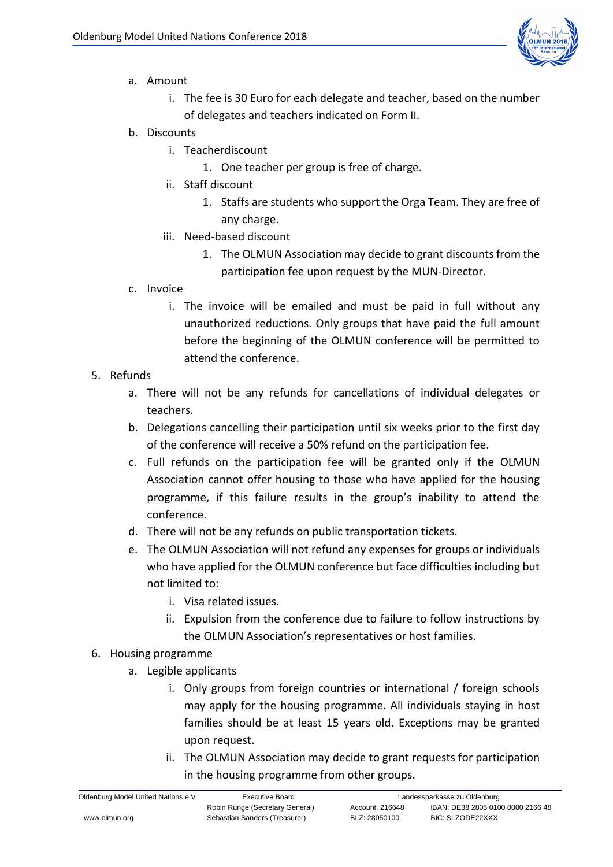

- a. Amount
	- i. The fee is 30 Euro for each delegate and teacher, based on the number of delegates and teachers indicated on Form II.
- b. Discounts
	- i. Teacherdiscount
		- 1. One teacher per group is free of charge.
	- ii. Staff discount
		- 1. Staffs are students who support the Orga Team. They are free of any charge.
	- iii. Need-based discount
		- 1. The OLMUN Association may decide to grant discounts from the participation fee upon request by the MUN-Director.
- c. Invoice
	- i. The invoice will be emailed and must be paid in full without any unauthorized reductions. Only groups that have paid the full amount before the beginning of the OLMUN conference will be permitted to attend the conference.
- 5. Refunds
	- a. There will not be any refunds for cancellations of individual delegates or teachers.
	- b. Delegations cancelling their participation until six weeks prior to the first day of the conference will receive a 50% refund on the participation fee.
	- c. Full refunds on the participation fee will be granted only if the OLMUN Association cannot offer housing to those who have applied for the housing programme, if this failure results in the group's inability to attend the conference.
	- d. There will not be any refunds on public transportation tickets.
	- e. The OLMUN Association will not refund any expenses for groups or individuals who have applied for the OLMUN conference but face difficulties including but not limited to:
		- i. Visa related issues.
		- ii. Expulsion from the conference due to failure to follow instructions by the OLMUN Association's representatives or host families.
- 6. Housing programme
	- a. Legible applicants
		- i. Only groups from foreign countries or international / foreign schools may apply for the housing programme. All individuals staying in host families should be at least 15 years old. Exceptions may be granted upon request.
		- ii. The OLMUN Association may decide to grant requests for participation in the housing programme from other groups.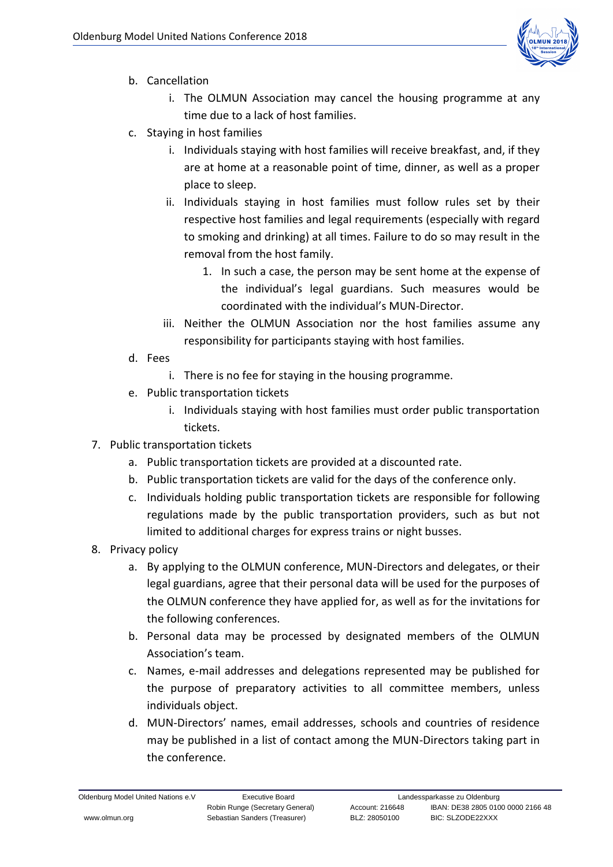

- b. Cancellation
	- i. The OLMUN Association may cancel the housing programme at any time due to a lack of host families.
- c. Staying in host families
	- i. Individuals staying with host families will receive breakfast, and, if they are at home at a reasonable point of time, dinner, as well as a proper place to sleep.
	- ii. Individuals staying in host families must follow rules set by their respective host families and legal requirements (especially with regard to smoking and drinking) at all times. Failure to do so may result in the removal from the host family.
		- 1. In such a case, the person may be sent home at the expense of the individual's legal guardians. Such measures would be coordinated with the individual's MUN-Director.
	- iii. Neither the OLMUN Association nor the host families assume any responsibility for participants staying with host families.
- d. Fees
	- i. There is no fee for staying in the housing programme.
- e. Public transportation tickets
	- i. Individuals staying with host families must order public transportation tickets.
- 7. Public transportation tickets
	- a. Public transportation tickets are provided at a discounted rate.
	- b. Public transportation tickets are valid for the days of the conference only.
	- c. Individuals holding public transportation tickets are responsible for following regulations made by the public transportation providers, such as but not limited to additional charges for express trains or night busses.
- 8. Privacy policy
	- a. By applying to the OLMUN conference, MUN-Directors and delegates, or their legal guardians, agree that their personal data will be used for the purposes of the OLMUN conference they have applied for, as well as for the invitations for the following conferences.
	- b. Personal data may be processed by designated members of the OLMUN Association's team.
	- c. Names, e-mail addresses and delegations represented may be published for the purpose of preparatory activities to all committee members, unless individuals object.
	- d. MUN-Directors' names, email addresses, schools and countries of residence may be published in a list of contact among the MUN-Directors taking part in the conference.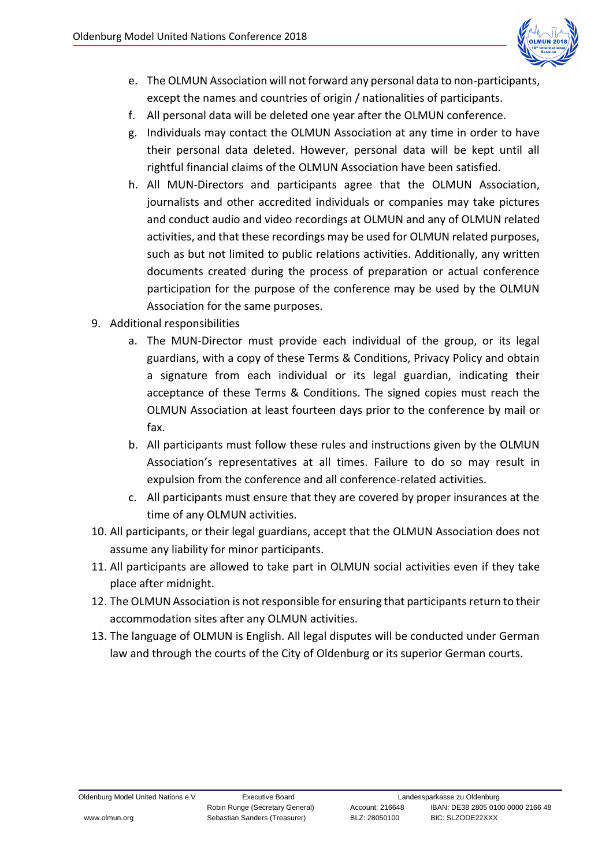

- e. The OLMUN Association will not forward any personal data to non-participants, except the names and countries of origin / nationalities of participants.
- f. All personal data will be deleted one year after the OLMUN conference.
- g. Individuals may contact the OLMUN Association at any time in order to have their personal data deleted. However, personal data will be kept until all rightful financial claims of the OLMUN Association have been satisfied.
- h. All MUN-Directors and participants agree that the OLMUN Association, journalists and other accredited individuals or companies may take pictures and conduct audio and video recordings at OLMUN and any of OLMUN related activities, and that these recordings may be used for OLMUN related purposes, such as but not limited to public relations activities. Additionally, any written documents created during the process of preparation or actual conference participation for the purpose of the conference may be used by the OLMUN Association for the same purposes.
- 9. Additional responsibilities
	- a. The MUN-Director must provide each individual of the group, or its legal guardians, with a copy of these Terms & Conditions, Privacy Policy and obtain a signature from each individual or its legal guardian, indicating their acceptance of these Terms & Conditions. The signed copies must reach the OLMUN Association at least fourteen days prior to the conference by mail or fax.
	- b. All participants must follow these rules and instructions given by the OLMUN Association's representatives at all times. Failure to do so may result in expulsion from the conference and all conference-related activities.
	- c. All participants must ensure that they are covered by proper insurances at the time of any OLMUN activities.
- 10. All participants, or their legal guardians, accept that the OLMUN Association does not assume any liability for minor participants.
- 11. All participants are allowed to take part in OLMUN social activities even if they take place after midnight.
- 12. The OLMUN Association is not responsible for ensuring that participants return to their accommodation sites after any OLMUN activities.
- 13. The language of OLMUN is English. All legal disputes will be conducted under German law and through the courts of the City of Oldenburg or its superior German courts.